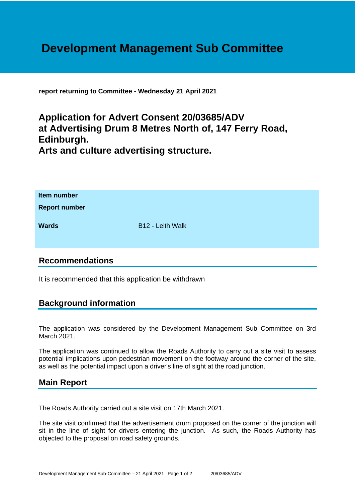# **Development Management Sub Committee**

**report returning to Committee - Wednesday 21 April 2021**

## **Application for Advert Consent 20/03685/ADV at Advertising Drum 8 Metres North of, 147 Ferry Road, Edinburgh. Arts and culture advertising structure.**

| Item number<br><b>Report number</b> |                  |
|-------------------------------------|------------------|
| <b>Wards</b>                        | B12 - Leith Walk |

### **Recommendations**

It is recommended that this application be withdrawn

### **Background information**

The application was considered by the Development Management Sub Committee on 3rd March 2021.

The application was continued to allow the Roads Authority to carry out a site visit to assess potential implications upon pedestrian movement on the footway around the corner of the site, as well as the potential impact upon a driver's line of sight at the road junction.

#### **Main Report**

The Roads Authority carried out a site visit on 17th March 2021.

The site visit confirmed that the advertisement drum proposed on the corner of the junction will sit in the line of sight for drivers entering the junction. As such, the Roads Authority has objected to the proposal on road safety grounds.